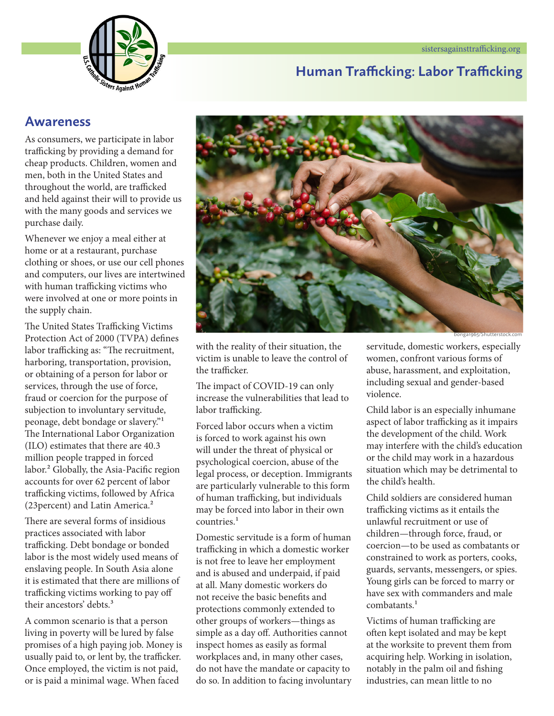

### **Human Trafficking: Labor Trafficking**

### **Awareness**

As consumers, we participate in labor trafficking by providing a demand for cheap products. Children, women and men, both in the United States and throughout the world, are trafficked and held against their will to provide us with the many goods and services we purchase daily.

Whenever we enjoy a meal either at home or at a restaurant, purchase clothing or shoes, or use our cell phones and computers, our lives are intertwined with human trafficking victims who were involved at one or more points in the supply chain.

The United States Trafficking Victims Protection Act of 2000 (TVPA) defines labor trafficking as: "The recruitment, harboring, transportation, provision, or obtaining of a person for labor or services, through the use of force, fraud or coercion for the purpose of subjection to involuntary servitude, peonage, debt bondage or slavery."1 The International Labor Organization (ILO) estimates that there are 40.3 million people trapped in forced labor.<sup>2</sup> Globally, the Asia-Pacific region accounts for over 62 percent of labor trafficking victims, followed by Africa (23percent) and Latin America.2

There are several forms of insidious practices associated with labor trafficking. Debt bondage or bonded labor is the most widely used means of enslaving people. In South Asia alone it is estimated that there are millions of trafficking victims working to pay off their ancestors' debts.<sup>3</sup>

A common scenario is that a person living in poverty will be lured by false promises of a high paying job. Money is usually paid to, or lent by, the trafficker. Once employed, the victim is not paid, or is paid a minimal wage. When faced



with the reality of their situation, the victim is unable to leave the control of the trafficker.

The impact of COVID-19 can only increase the vulnerabilities that lead to labor trafficking.

Forced labor occurs when a victim is forced to work against his own will under the threat of physical or psychological coercion, abuse of the legal process, or deception. Immigrants are particularly vulnerable to this form of human trafficking, but individuals may be forced into labor in their own countries<sup>1</sup>

Domestic servitude is a form of human trafficking in which a domestic worker is not free to leave her employment and is abused and underpaid, if paid at all. Many domestic workers do not receive the basic benefits and protections commonly extended to other groups of workers—things as simple as a day off. Authorities cannot inspect homes as easily as formal workplaces and, in many other cases, do not have the mandate or capacity to do so. In addition to facing involuntary servitude, domestic workers, especially women, confront various forms of abuse, harassment, and exploitation, including sexual and gender-based violence.

Child labor is an especially inhumane aspect of labor trafficking as it impairs the development of the child. Work may interfere with the child's education or the child may work in a hazardous situation which may be detrimental to the child's health.

Child soldiers are considered human trafficking victims as it entails the unlawful recruitment or use of children—through force, fraud, or coercion—to be used as combatants or constrained to work as porters, cooks, guards, servants, messengers, or spies. Young girls can be forced to marry or have sex with commanders and male combatants<sup>1</sup>

Victims of human trafficking are often kept isolated and may be kept at the worksite to prevent them from acquiring help. Working in isolation, notably in the palm oil and fishing industries, can mean little to no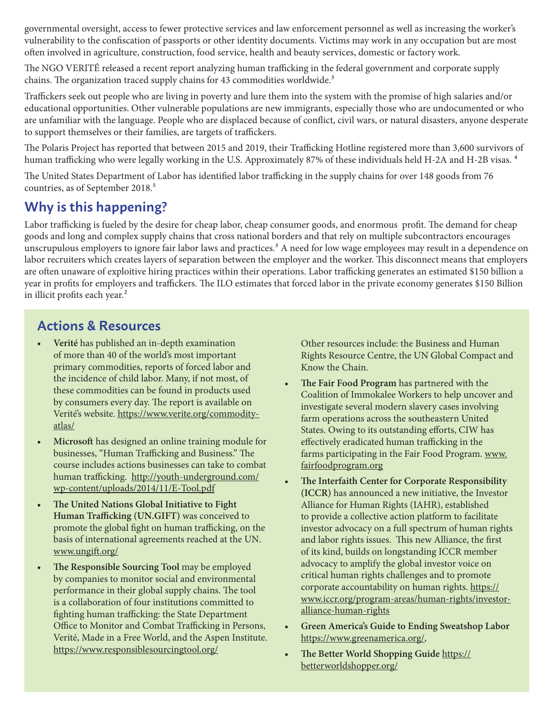governmental oversight, access to fewer protective services and law enforcement personnel as well as increasing the worker's vulnerability to the confiscation of passports or other identity documents. Victims may work in any occupation but are most often involved in agriculture, construction, food service, health and beauty services, domestic or factory work.

The NGO VERITÉ released a recent report analyzing human trafficking in the federal government and corporate supply chains. The organization traced supply chains for 43 commodities worldwide.<sup>3</sup>

Traffickers seek out people who are living in poverty and lure them into the system with the promise of high salaries and/or educational opportunities. Other vulnerable populations are new immigrants, especially those who are undocumented or who are unfamiliar with the language. People who are displaced because of conflict, civil wars, or natural disasters, anyone desperate to support themselves or their families, are targets of traffickers.

The Polaris Project has reported that between 2015 and 2019, their Trafficking Hotline registered more than 3,600 survivors of human trafficking who were legally working in the U.S. Approximately 87% of these individuals held H-2A and H-2B visas.<sup>4</sup>

The United States Department of Labor has identified labor trafficking in the supply chains for over 148 goods from 76 countries, as of September 2018.<sup>5</sup>

# **Why is this happening?**

Labor trafficking is fueled by the desire for cheap labor, cheap consumer goods, and enormous profit. The demand for cheap goods and long and complex supply chains that cross national borders and that rely on multiple subcontractors encourages unscrupulous employers to ignore fair labor laws and practices.<sup>3</sup> A need for low wage employees may result in a dependence on labor recruiters which creates layers of separation between the employer and the worker. This disconnect means that employers are often unaware of exploitive hiring practices within their operations. Labor trafficking generates an estimated \$150 billion a year in profits for employers and traffickers. The ILO estimates that forced labor in the private economy generates \$150 Billion in illicit profits each year.<sup>2</sup>

# **Actions & Resources**

- **• Verité** has published an in-depth examination of more than 40 of the world's most important primary commodities, reports of forced labor and the incidence of child labor. Many, if not most, of these commodities can be found in products used by consumers every day. The report is available on Verité's website. [https://www.verite.org/commodity](https://www.verite.org/commodity-atlas/ )[atlas/](https://www.verite.org/commodity-atlas/ )
- **• Microsoft** has designed an online training module for businesses, "Human Trafficking and Business." The course includes actions businesses can take to combat human trafficking. [http://youth-underground.com/](http://youth-underground.com/wp-content/uploads/2014/11/E-Tool.pdf) [wp-content/uploads/2014/11/E-Tool.pdf](http://youth-underground.com/wp-content/uploads/2014/11/E-Tool.pdf)
- **• The United Nations Global Initiative to Fight Human Trafficking (UN.GIFT)** was conceived to promote the global fight on human trafficking, on the basis of international agreements reached at the UN. [www.ungift.org/](http://www.ungift.org/ )
- **• The Responsible Sourcing Tool** may be employed by companies to monitor social and environmental performance in their global supply chains. The tool is a collaboration of four institutions committed to fighting human trafficking: the State Department Office to Monitor and Combat Trafficking in Persons, Verité, Made in a Free World, and the Aspen Institute. [https://www.responsiblesourcingtool.org/](https://www.responsiblesourcingtool.org/ )

Other resources include: the Business and Human Rights Resource Centre, the UN Global Compact and Know the Chain.

- **• The Fair Food Program** has partnered with the Coalition of Immokalee Workers to help uncover and investigate several modern slavery cases involving farm operations across the southeastern United States. Owing to its outstanding efforts, CIW has effectively eradicated human trafficking in the farms participating in the Fair Food Program. [www.](http://www.fairfoodprogram.org ) [fairfoodprogram.org](http://www.fairfoodprogram.org )
- **• The Interfaith Center for Corporate Responsibility (ICCR)** has announced a new initiative, the Investor Alliance for Human Rights (IAHR), established to provide a collective action platform to facilitate investor advocacy on a full spectrum of human rights and labor rights issues. This new Alliance, the first of its kind, builds on longstanding ICCR member advocacy to amplify the global investor voice on critical human rights challenges and to promote corporate accountability on human rights. [https://](https://www.iccr.org/program-areas/human-rights/investor-alliance-human-rights ) [www.iccr.org/program-areas/human-rights/investor](https://www.iccr.org/program-areas/human-rights/investor-alliance-human-rights )[alliance-human-rights](https://www.iccr.org/program-areas/human-rights/investor-alliance-human-rights )
- **• Green America's Guide to Ending Sweatshop Labor**  <https://www.greenamerica.org/>,
- **• The Better World Shopping Guide** [https://](https://betterworldshopper.org/) [betterworldshopper.org/](https://betterworldshopper.org/)